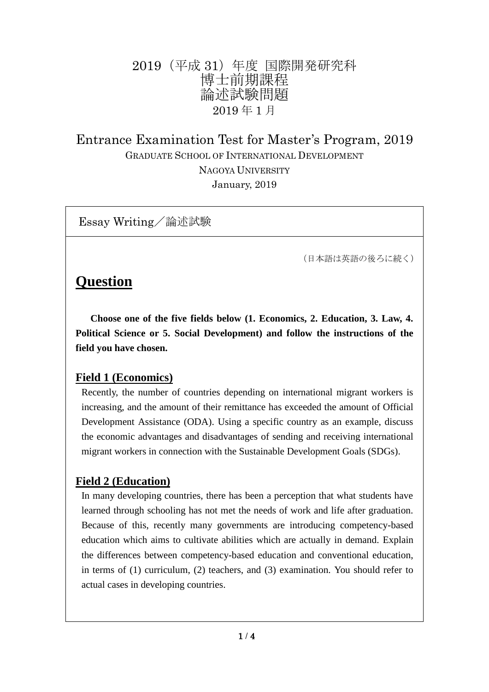# 2019(平成 31)年度 国際開発研究科 博士前期課程 論述試験問題 2019 年 1 月

Entrance Examination Test for Master's Program, 2019 GRADUATE SCHOOL OF INTERNATIONAL DEVELOPMENT NAGOYA UNIVERSITY January, 2019

Essay Writing/論述試験

(日本語は英語の後ろに続く)

# **Question**

 **Choose one of the five fields below (1. Economics, 2. Education, 3. Law, 4. Political Science or 5. Social Development) and follow the instructions of the field you have chosen.**

#### **Field 1 (Economics)**

Recently, the number of countries depending on international migrant workers is increasing, and the amount of their remittance has exceeded the amount of Official Development Assistance (ODA). Using a specific country as an example, discuss the economic advantages and disadvantages of sending and receiving international migrant workers in connection with the Sustainable Development Goals (SDGs).

#### **Field 2 (Education)**

In many developing countries, there has been a perception that what students have learned through schooling has not met the needs of work and life after graduation. Because of this, recently many governments are introducing competency-based education which aims to cultivate abilities which are actually in demand. Explain the differences between competency-based education and conventional education, in terms of (1) curriculum, (2) teachers, and (3) examination. You should refer to actual cases in developing countries.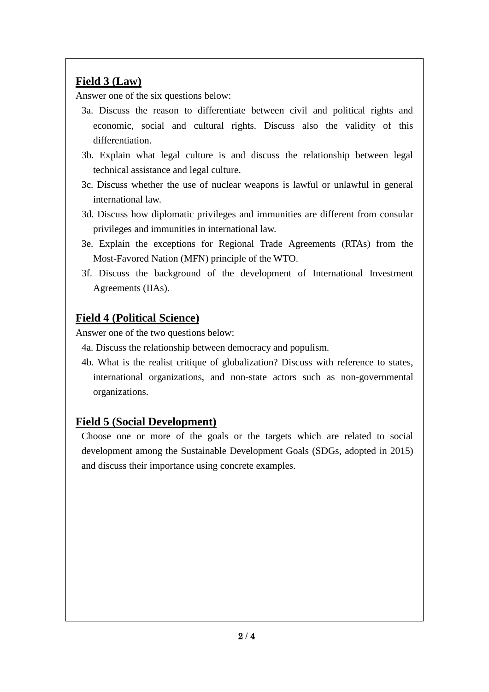## **Field 3 (Law)**

Answer one of the six questions below:

- 3a. Discuss the reason to differentiate between civil and political rights and economic, social and cultural rights. Discuss also the validity of this differentiation.
- 3b. Explain what legal culture is and discuss the relationship between legal technical assistance and legal culture.
- 3c. Discuss whether the use of nuclear weapons is lawful or unlawful in general international law.
- 3d. Discuss how diplomatic privileges and immunities are different from consular privileges and immunities in international law.
- 3e. Explain the exceptions for Regional Trade Agreements (RTAs) from the Most-Favored Nation (MFN) principle of the WTO.
- 3f. Discuss the background of the development of International Investment Agreements (IIAs).

## **Field 4 (Political Science)**

Answer one of the two questions below:

4a. Discuss the relationship between democracy and populism.

4b. What is the realist critique of globalization? Discuss with reference to states, international organizations, and non-state actors such as non-governmental organizations.

### **Field 5 (Social Development)**

Choose one or more of the goals or the targets which are related to social development among the Sustainable Development Goals (SDGs, adopted in 2015) and discuss their importance using concrete examples.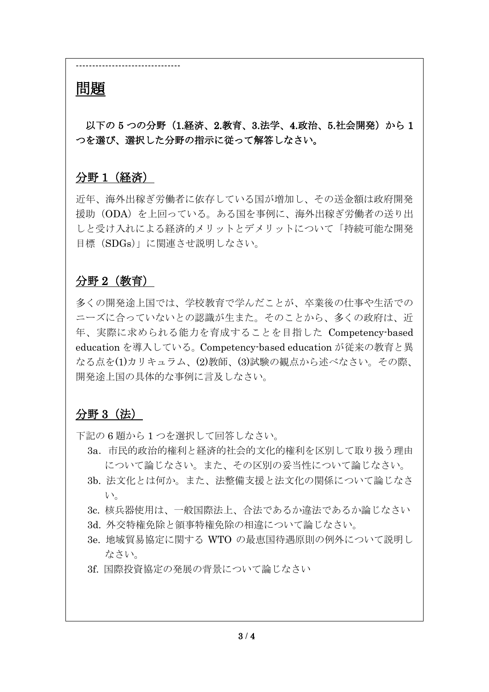# 問題

以下の 5 つの分野 (1.経済、2.教育、3.法学、4.政治、5.社会開発)から 1 つを選び、選択した分野の指示に従って解答しなさい。

# 分野 1(経済)

--------------------------------

近年、海外出稼ぎ労働者に依存している国が増加し、その送金額は政府開発 援助(ODA)を上回っている。ある国を事例に、海外出稼ぎ労働者の送り出 しと受け入れによる経済的メリットとデメリットについて「持続可能な開発 目標(SDGs)」に関連させ説明しなさい。

### 分野 2(教育)

多くの開発途上国では、学校教育で学んだことが、卒業後の仕事や生活での ニーズに合っていないとの認識が生また。そのことから、多くの政府は、近 年、実際に求められる能力を育成することを目指した Competency-based education を導入している。Competency-based education が従来の教育と異 なる点を(1)カリキュラム、(2)教師、(3)試験の観点から述べなさい。その際、 開発途上国の具体的な事例に言及しなさい。

# 分野 3(法)

下記の 6 題から 1 つを選択して回答しなさい。

- 3a.市民的政治的権利と経済的社会的文化的権利を区別して取り扱う理由 について論じなさい。また、その区別の妥当性について論じなさい。
- 3b. 法文化とは何か。また、法整備支援と法文化の関係について論じなさ い。
- 3c. 核兵器使用は、一般国際法上、合法であるか違法であるか論じなさい
- 3d. 外交特権免除と領事特権免除の相違について論じなさい。
- 3e. 地域貿易協定に関する WTO の最恵国待遇原則の例外について説明し なさい。
- 3f. 国際投資協定の発展の背景について論じなさい